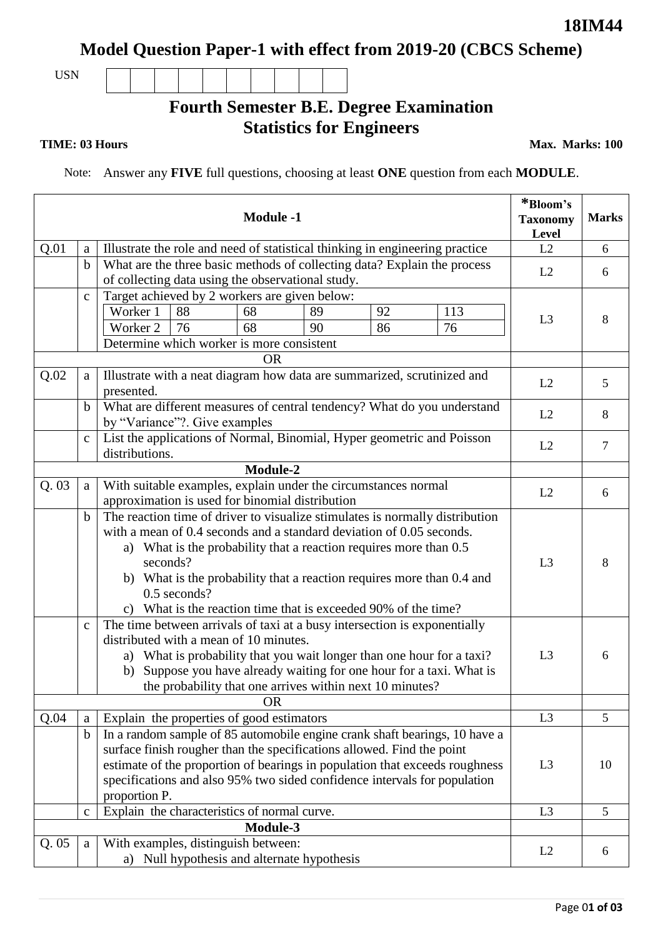**Model Question Paper-1 with effect from 2019-20 (CBCS Scheme)**

USN

## **Fourth Semester B.E. Degree Examination Statistics for Engineers**

**TIME: 03 Hours** Max. Marks: 100

Note: Answer any **FIVE** full questions, choosing at least **ONE** question from each **MODULE**.

| <b>Module -1</b> |                                                                                            |                                                                                                                                                                                                                                                                                                                                                                                                  |    |                                              |    | *Bloom's<br><b>Taxonomy</b><br>Level | <b>Marks</b> |                |    |
|------------------|--------------------------------------------------------------------------------------------|--------------------------------------------------------------------------------------------------------------------------------------------------------------------------------------------------------------------------------------------------------------------------------------------------------------------------------------------------------------------------------------------------|----|----------------------------------------------|----|--------------------------------------|--------------|----------------|----|
| Q.01             | $\mathbf{a}$                                                                               | Illustrate the role and need of statistical thinking in engineering practice                                                                                                                                                                                                                                                                                                                     | L2 | 6                                            |    |                                      |              |                |    |
|                  | $\mathbf b$                                                                                | What are the three basic methods of collecting data? Explain the process<br>of collecting data using the observational study.                                                                                                                                                                                                                                                                    | L2 | 6                                            |    |                                      |              |                |    |
|                  | $\mathbf c$                                                                                | Target achieved by 2 workers are given below:                                                                                                                                                                                                                                                                                                                                                    |    |                                              |    |                                      |              |                |    |
|                  |                                                                                            | Worker 1<br>92<br>88<br>68<br>89<br>113                                                                                                                                                                                                                                                                                                                                                          |    |                                              |    |                                      |              |                | 8  |
|                  |                                                                                            | Worker 2                                                                                                                                                                                                                                                                                                                                                                                         | 76 | 68                                           | 90 | 86                                   | 76           | L <sub>3</sub> |    |
|                  | Determine which worker is more consistent                                                  |                                                                                                                                                                                                                                                                                                                                                                                                  |    |                                              |    |                                      |              |                |    |
|                  |                                                                                            |                                                                                                                                                                                                                                                                                                                                                                                                  |    |                                              |    |                                      |              |                |    |
| Q.02             | Illustrate with a neat diagram how data are summarized, scrutinized and<br>a<br>presented. |                                                                                                                                                                                                                                                                                                                                                                                                  |    |                                              |    |                                      |              | L2             | 5  |
|                  | $\mathbf b$                                                                                | What are different measures of central tendency? What do you understand<br>by "Variance"?. Give examples                                                                                                                                                                                                                                                                                         |    |                                              |    |                                      |              |                | 8  |
|                  | $\mathbf c$                                                                                | List the applications of Normal, Binomial, Hyper geometric and Poisson<br>distributions.                                                                                                                                                                                                                                                                                                         | L2 | $\tau$                                       |    |                                      |              |                |    |
|                  |                                                                                            |                                                                                                                                                                                                                                                                                                                                                                                                  |    | Module-2                                     |    |                                      |              |                |    |
| Q.03             | a                                                                                          | With suitable examples, explain under the circumstances normal<br>approximation is used for binomial distribution                                                                                                                                                                                                                                                                                |    |                                              |    |                                      |              |                | 6  |
|                  | $\mathbf b$                                                                                | The reaction time of driver to visualize stimulates is normally distribution<br>with a mean of 0.4 seconds and a standard deviation of 0.05 seconds.<br>a) What is the probability that a reaction requires more than 0.5<br>seconds?<br>b) What is the probability that a reaction requires more than 0.4 and<br>0.5 seconds?<br>c) What is the reaction time that is exceeded 90% of the time? |    |                                              |    |                                      |              |                | 8  |
|                  | $\mathbf C$                                                                                | The time between arrivals of taxi at a busy intersection is exponentially<br>distributed with a mean of 10 minutes.<br>a) What is probability that you wait longer than one hour for a taxi?<br>Suppose you have already waiting for one hour for a taxi. What is<br>b)<br>the probability that one arrives within next 10 minutes?                                                              |    |                                              |    |                                      |              |                | 6  |
|                  | <b>OR</b>                                                                                  |                                                                                                                                                                                                                                                                                                                                                                                                  |    |                                              |    |                                      |              |                |    |
| Q.04             | a                                                                                          | Explain the properties of good estimators                                                                                                                                                                                                                                                                                                                                                        |    |                                              |    |                                      |              | L <sub>3</sub> | 5  |
|                  | $\mathbf b$                                                                                | In a random sample of 85 automobile engine crank shaft bearings, 10 have a<br>surface finish rougher than the specifications allowed. Find the point<br>estimate of the proportion of bearings in population that exceeds roughness<br>specifications and also 95% two sided confidence intervals for population<br>proportion P.                                                                |    |                                              |    |                                      |              | L <sub>3</sub> | 10 |
|                  | $\mathbf c$                                                                                |                                                                                                                                                                                                                                                                                                                                                                                                  |    | Explain the characteristics of normal curve. |    |                                      |              | L <sub>3</sub> | 5  |
| Module-3         |                                                                                            |                                                                                                                                                                                                                                                                                                                                                                                                  |    |                                              |    |                                      |              |                |    |
| Q.05             | $\mathbf{a}$                                                                               | With examples, distinguish between:<br>a) Null hypothesis and alternate hypothesis                                                                                                                                                                                                                                                                                                               |    |                                              |    |                                      |              |                | 6  |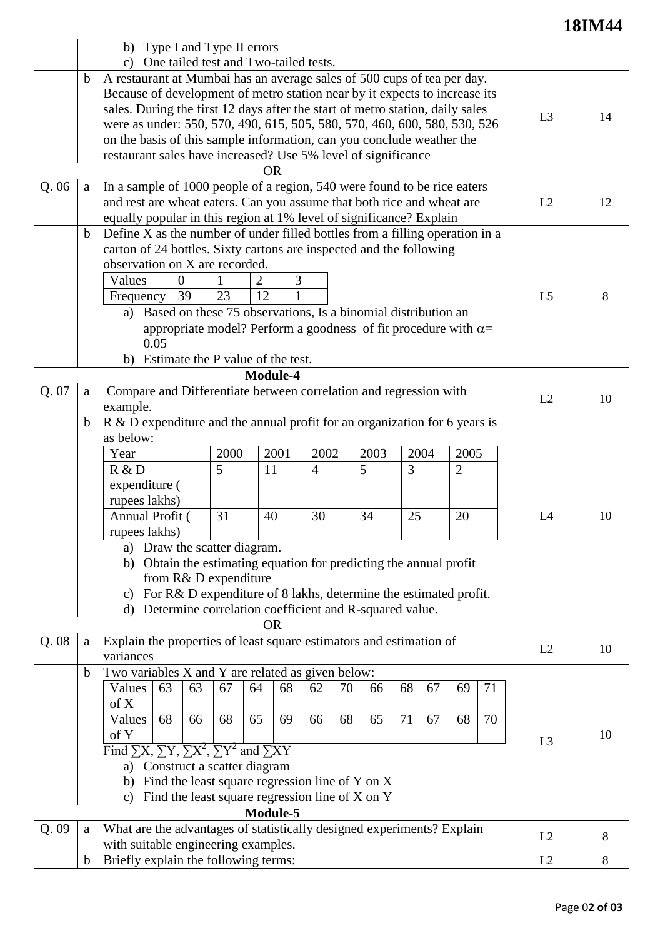## **18IM44**

|          |             | b) Type I and Type II errors<br>c) One tailed test and Two-tailed tests.                                                                           |          |                                      |    |          |    |    |          |                |    |
|----------|-------------|----------------------------------------------------------------------------------------------------------------------------------------------------|----------|--------------------------------------|----|----------|----|----|----------|----------------|----|
|          |             |                                                                                                                                                    |          |                                      |    |          |    |    |          |                |    |
|          | b           | A restaurant at Mumbai has an average sales of 500 cups of tea per day.                                                                            |          |                                      |    |          |    |    |          |                |    |
|          |             | Because of development of metro station near by it expects to increase its                                                                         |          |                                      |    |          |    |    |          |                |    |
|          |             | sales. During the first 12 days after the start of metro station, daily sales                                                                      |          |                                      |    |          |    |    |          |                | 14 |
|          |             | were as under: 550, 570, 490, 615, 505, 580, 570, 460, 600, 580, 530, 526<br>on the basis of this sample information, can you conclude weather the |          |                                      |    |          |    |    |          |                |    |
|          |             |                                                                                                                                                    |          |                                      |    |          |    |    |          |                |    |
|          |             | restaurant sales have increased? Use 5% level of significance                                                                                      |          |                                      |    |          |    |    |          |                |    |
|          |             |                                                                                                                                                    |          |                                      |    |          |    |    |          |                |    |
| Q.06     | a           | In a sample of 1000 people of a region, 540 were found to be rice eaters                                                                           |          |                                      |    |          |    |    |          |                |    |
|          |             | and rest are wheat eaters. Can you assume that both rice and wheat are                                                                             | L2       | 12                                   |    |          |    |    |          |                |    |
|          |             | equally popular in this region at 1% level of significance? Explain                                                                                |          |                                      |    |          |    |    |          |                |    |
|          | $\mathbf b$ | Define X as the number of under filled bottles from a filling operation in a                                                                       |          |                                      |    |          |    |    |          |                |    |
|          |             | carton of 24 bottles. Sixty cartons are inspected and the following                                                                                |          |                                      |    |          |    |    |          |                |    |
|          |             | observation on X are recorded.                                                                                                                     |          |                                      |    |          |    |    |          |                |    |
|          |             | Values<br>$\overline{0}$                                                                                                                           |          | 2<br>3                               |    |          |    |    |          |                |    |
|          |             | 39<br>Frequency                                                                                                                                    | 23       | 12                                   |    |          |    |    |          | L <sub>5</sub> | 8  |
|          |             | Based on these 75 observations, Is a binomial distribution an<br>a)                                                                                |          |                                      |    |          |    |    |          |                |    |
|          |             | appropriate model? Perform a goodness of fit procedure with $\alpha$ =                                                                             |          |                                      |    |          |    |    |          |                |    |
|          |             | 0.05                                                                                                                                               |          |                                      |    |          |    |    |          |                |    |
|          |             | Estimate the P value of the test.<br>b)                                                                                                            |          |                                      |    |          |    |    |          |                |    |
|          |             | Module-4                                                                                                                                           |          |                                      |    |          |    |    |          |                |    |
| Q. 07    | a           | Compare and Differentiate between correlation and regression with                                                                                  |          |                                      |    |          |    |    |          | L2             |    |
|          |             | example.                                                                                                                                           |          |                                      |    |          |    |    |          |                | 10 |
|          | $\mathbf b$ | $R \& D$ expenditure and the annual profit for an organization for 6 years is                                                                      |          |                                      |    |          |    |    |          |                |    |
|          |             | as below:                                                                                                                                          |          |                                      |    |          |    |    |          |                |    |
|          |             | 2000<br>2002<br>2003<br>2005<br>Year<br>2001<br>2004                                                                                               |          |                                      |    |          |    |    |          |                |    |
|          |             | 5<br>3<br>5<br>R & D<br>11<br>$\overline{2}$<br>$\overline{4}$                                                                                     |          |                                      |    |          |    |    |          |                |    |
|          |             | expenditure (                                                                                                                                      |          |                                      |    |          |    |    |          |                |    |
|          |             | rupees lakhs)                                                                                                                                      |          |                                      |    |          |    |    |          |                |    |
|          |             | Annual Profit (<br>31<br>30<br>34<br>25<br>20<br>40                                                                                                |          |                                      |    |          | L4 | 10 |          |                |    |
|          |             | rupees lakhs)                                                                                                                                      |          |                                      |    |          |    |    |          |                |    |
|          |             | Draw the scatter diagram.<br>a)                                                                                                                    |          |                                      |    |          |    |    |          |                |    |
|          |             |                                                                                                                                                    |          |                                      |    |          |    |    |          |                |    |
|          |             | Obtain the estimating equation for predicting the annual profit<br>b)                                                                              |          |                                      |    |          |    |    |          |                |    |
|          |             | from R& D expenditure                                                                                                                              |          |                                      |    |          |    |    |          |                |    |
|          |             | For R& D expenditure of 8 lakhs, determine the estimated profit.<br>c)<br>Determine correlation coefficient and R-squared value.<br>$\mathbf{d}$   |          |                                      |    |          |    |    |          |                |    |
|          |             |                                                                                                                                                    |          | <b>OR</b>                            |    |          |    |    |          |                |    |
| Q.08     | a           | Explain the properties of least square estimators and estimation of                                                                                |          |                                      |    |          |    |    |          |                |    |
|          |             | variances                                                                                                                                          |          |                                      |    |          |    |    |          | L2             | 10 |
|          | $\mathbf b$ |                                                                                                                                                    |          |                                      |    |          |    |    |          |                |    |
|          |             | Two variables X and Y are related as given below:<br>63<br>67<br>68<br>70<br>68<br>67<br>Values<br>63<br>64<br>62<br>66                            |          |                                      |    |          |    |    | 71<br>69 |                |    |
|          |             | of X                                                                                                                                               |          |                                      |    |          |    |    |          |                |    |
|          |             | Values<br>68<br>66                                                                                                                                 | 68<br>65 | 69                                   | 66 | 68<br>65 | 71 | 67 | 70<br>68 |                |    |
|          |             | of Y                                                                                                                                               |          |                                      |    |          |    |    |          |                | 10 |
|          |             |                                                                                                                                                    |          |                                      |    |          |    |    |          | L <sub>3</sub> |    |
|          |             | Find $\Sigma X$ , $\Sigma Y$ , $\Sigma X^2$ , $\Sigma Y^2$ and $\Sigma XY$                                                                         |          |                                      |    |          |    |    |          |                |    |
|          |             | a) Construct a scatter diagram                                                                                                                     |          |                                      |    |          |    |    |          |                |    |
|          |             | Find the least square regression line of Y on X<br>b)                                                                                              |          |                                      |    |          |    |    |          |                |    |
|          |             | Find the least square regression line of X on Y<br>$\mathbf{c})$                                                                                   |          |                                      |    |          |    |    |          |                |    |
| Module-5 |             |                                                                                                                                                    |          |                                      |    |          |    |    |          |                |    |
| Q.09     | a           | What are the advantages of statistically designed experiments? Explain<br>with suitable engineering examples.                                      |          |                                      |    |          |    |    |          | L2             | 8  |
|          |             |                                                                                                                                                    |          |                                      |    |          |    |    |          | L2             | 8  |
|          | $\mathbf b$ |                                                                                                                                                    |          | Briefly explain the following terms: |    |          |    |    |          |                |    |